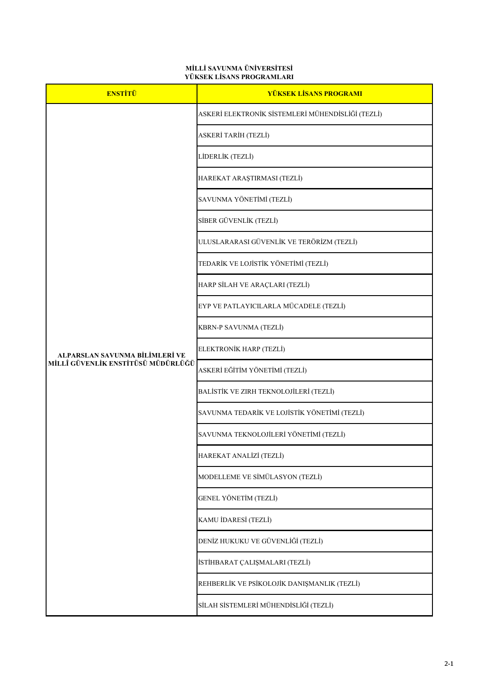| <b>ENSTİTÜ</b>                                                       | <b>YÜKSEK LİSANS PROGRAMI</b>                     |
|----------------------------------------------------------------------|---------------------------------------------------|
| ALPARSLAN SAVUNMA BİLİMLERİ VE<br>MİLLÎ GÜVENLİK ENSTİTÜSÜ MÜDÜRLÜĞÜ | ASKERİ ELEKTRONİK SİSTEMLERİ MÜHENDİSLİĞİ (TEZLİ) |
|                                                                      | ASKERİ TARİH (TEZLİ)                              |
|                                                                      | LİDERLİK (TEZLİ)                                  |
|                                                                      | HAREKAT ARAŞTIRMASI (TEZLİ)                       |
|                                                                      | SAVUNMA YÖNETİMİ (TEZLİ)                          |
|                                                                      | SİBER GÜVENLİK (TEZLİ)                            |
|                                                                      | ULUSLARARASI GÜVENLİK VE TERÖRİZM (TEZLİ)         |
|                                                                      | TEDARİK VE LOJİSTİK YÖNETİMİ (TEZLİ)              |
|                                                                      | HARP SİLAH VE ARAÇLARI (TEZLİ)                    |
|                                                                      | EYP VE PATLAYICILARLA MÜCADELE (TEZLİ)            |
|                                                                      | <b>KBRN-P SAVUNMA (TEZLİ)</b>                     |
|                                                                      | ELEKTRONİK HARP (TEZLİ)                           |
|                                                                      | ASKERİ EĞİTİM YÖNETİMİ (TEZLİ)                    |
|                                                                      | BALİSTİK VE ZIRH TEKNOLOJİLERİ (TEZLİ)            |
|                                                                      | SAVUNMA TEDARİK VE LOJİSTİK YÖNETİMİ (TEZLİ)      |
|                                                                      | SAVUNMA TEKNOLOJİLERİ YÖNETİMİ (TEZLİ)            |
|                                                                      | HAREKAT ANALİZİ (TEZLİ)                           |
|                                                                      | MODELLEME VE SİMÜLASYON (TEZLİ)                   |
|                                                                      | <b>GENEL YÖNETİM (TEZLİ)</b>                      |

| KAMU İDARESİ (TEZLİ)                        |
|---------------------------------------------|
| DENİZ HUKUKU VE GÜVENLİĞİ (TEZLİ)           |
| İSTİHBARAT ÇALIŞMALARI (TEZLİ)              |
| REHBERLİK VE PSİKOLOJİK DANIŞMANLIK (TEZLİ) |
| SİLAH SİSTEMLERİ MÜHENDİSLİĞİ (TEZLİ)       |

## **MİLLİ SAVUNMA ÜNİVERSİTESİ YÜKSEK LİSANS PROGRAMLARI**